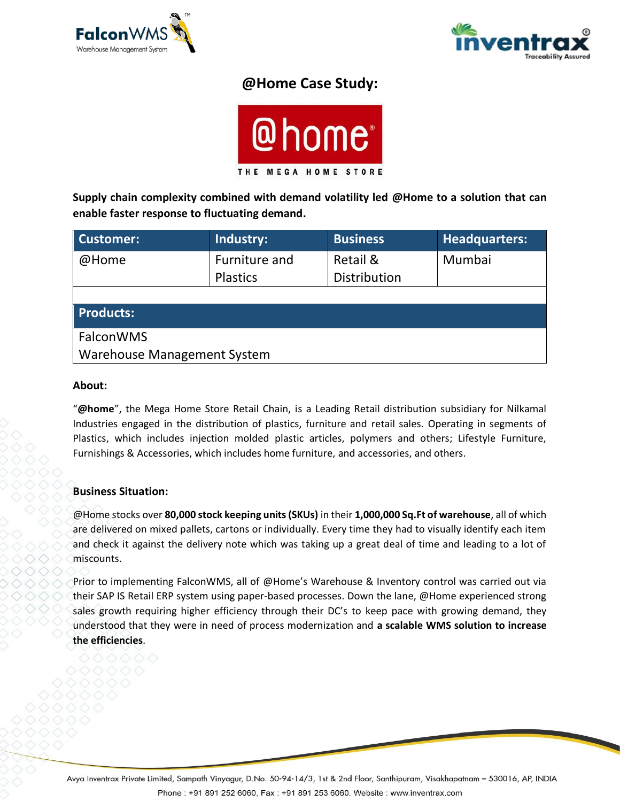



# **@Home Case Study:**



**Supply chain complexity combined with demand volatility led @Home to a solution that can enable faster response to fluctuating demand.**

| <b>Customer:</b>                   | Industry:                        | <b>Business</b>          | <b>Headquarters:</b> |
|------------------------------------|----------------------------------|--------------------------|----------------------|
| @Home                              | Furniture and<br><b>Plastics</b> | Retail &<br>Distribution | Mumbai               |
|                                    |                                  |                          |                      |
| <b>Products:</b>                   |                                  |                          |                      |
| FalconWMS                          |                                  |                          |                      |
| <b>Warehouse Management System</b> |                                  |                          |                      |

#### **About:**

"**@home**", the Mega Home Store Retail Chain, is a Leading Retail distribution subsidiary for Nilkamal Industries engaged in the distribution of plastics, furniture and retail sales. Operating in segments of Plastics, which includes injection molded plastic articles, polymers and others; Lifestyle Furniture, Furnishings & Accessories, which includes home furniture, and accessories, and others.

#### **Business Situation:**

@Home stocks over **80,000 stock keeping units (SKUs)** in their **1,000,000 Sq.Ft of warehouse**, all of which are delivered on mixed pallets, cartons or individually. Every time they had to visually identify each item and check it against the delivery note which was taking up a great deal of time and leading to a lot of miscounts.

Prior to implementing FalconWMS, all of @Home's Warehouse & Inventory control was carried out via their SAP IS Retail ERP system using paper-based processes. Down the lane, @Home experienced strong sales growth requiring higher efficiency through their DC's to keep pace with growing demand, they understood that they were in need of process modernization and **a scalable WMS solution to increase the efficiencies**.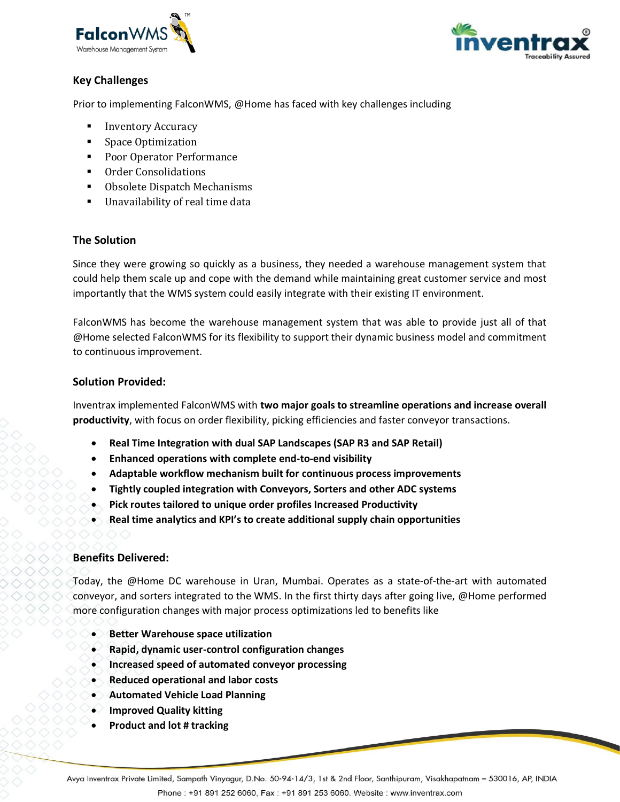



## **Key Challenges**

Prior to implementing FalconWMS, @Home has faced with key challenges including

- **Inventory Accuracy**
- **Space Optimization**
- Poor Operator Performance
- **Order Consolidations**
- Obsolete Dispatch Mechanisms
- Unavailability of real time data

## **The Solution**

Since they were growing so quickly as a business, they needed a warehouse management system that could help them scale up and cope with the demand while maintaining great customer service and most importantly that the WMS system could easily integrate with their existing IT environment.

FalconWMS has become the warehouse management system that was able to provide just all of that @Home selected FalconWMS for its flexibility to support their dynamic business model and commitment to continuous improvement.

## **Solution Provided:**

Inventrax implemented FalconWMS with **two major goals to streamline operations and increase overall productivity**, with focus on order flexibility, picking efficiencies and faster conveyor transactions.

- **Real Time Integration with dual SAP Landscapes (SAP R3 and SAP Retail)**
- **Enhanced operations with complete end-to-end visibility**
- **Adaptable workflow mechanism built for continuous process improvements**
- **Tightly coupled integration with Conveyors, Sorters and other ADC systems**
- **Pick routes tailored to unique order profiles Increased Productivity**
- **Real time analytics and KPI's to create additional supply chain opportunities**

## **Benefits Delivered:**

Today, the @Home DC warehouse in Uran, Mumbai. Operates as a state-of-the-art with automated conveyor, and sorters integrated to the WMS. In the first thirty days after going live, @Home performed more configuration changes with major process optimizations led to benefits like

- **Better Warehouse space utilization**
- **Rapid, dynamic user-control configuration changes**
- **Increased speed of automated conveyor processing**
- **Reduced operational and labor costs**
- **Automated Vehicle Load Planning**
- **Improved Quality kitting**
- **Product and lot # tracking**

Avya Inventrax Private Limited, Sampath Vinyagur, D.No. 50-94-14/3, 1st & 2nd Floor, Santhipuram, Visakhapatnam - 530016, AP, INDIA Phone: +91 891 252 6060, Fax: +91 891 253 6060. Website: www.inventrax.com